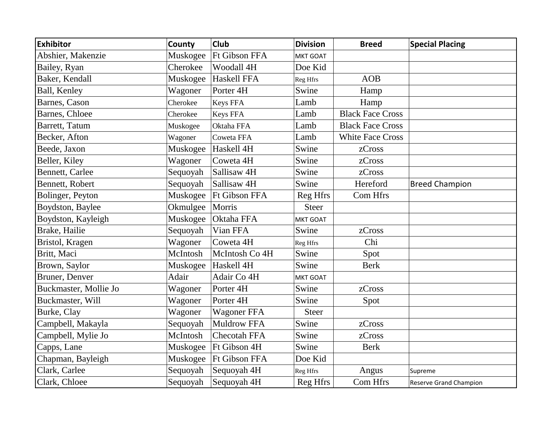| <b>Exhibitor</b>        | County   | <b>Club</b>            | <b>Division</b> | <b>Breed</b>            | <b>Special Placing</b> |
|-------------------------|----------|------------------------|-----------------|-------------------------|------------------------|
| Abshier, Makenzie       | Muskogee | <b>Ft Gibson FFA</b>   | <b>MKT GOAT</b> |                         |                        |
| Bailey, Ryan            | Cherokee | Woodall 4H             | Doe Kid         |                         |                        |
| Baker, Kendall          | Muskogee | Haskell FFA            | Reg Hfrs        | <b>AOB</b>              |                        |
| Ball, Kenley            | Wagoner  | Porter <sub>4H</sub>   | Swine           | Hamp                    |                        |
| Barnes, Cason           | Cherokee | Keys FFA               | Lamb            | Hamp                    |                        |
| Barnes, Chloee          | Cherokee | Keys FFA               | Lamb            | <b>Black Face Cross</b> |                        |
| Barrett, Tatum          | Muskogee | Oktaha FFA             | Lamb            | <b>Black Face Cross</b> |                        |
| Becker, Afton           | Wagoner  | Coweta FFA             | Lamb            | <b>White Face Cross</b> |                        |
| Beede, Jaxon            | Muskogee | Haskell 4H             | Swine           | zCross                  |                        |
| Beller, Kiley           | Wagoner  | Coweta 4H              | Swine           | zCross                  |                        |
| <b>Bennett</b> , Carlee | Sequoyah | Sallisaw <sub>4H</sub> | Swine           | zCross                  |                        |
| <b>Bennett, Robert</b>  | Sequoyah | Sallisaw <sub>4H</sub> | Swine           | Hereford                | <b>Breed Champion</b>  |
| Bolinger, Peyton        | Muskogee | <b>Ft Gibson FFA</b>   | Reg Hfrs        | Com Hfrs                |                        |
| Boydston, Baylee        | Okmulgee | Morris                 | <b>Steer</b>    |                         |                        |
| Boydston, Kayleigh      | Muskogee | Oktaha FFA             | <b>MKT GOAT</b> |                         |                        |
| Brake, Hailie           | Sequoyah | Vian FFA               | Swine           | zCross                  |                        |
| Bristol, Kragen         | Wagoner  | Coweta 4H              | Reg Hfrs        | Chi                     |                        |
| Britt, Maci             | McIntosh | McIntosh Co 4H         | Swine           | Spot                    |                        |
| Brown, Saylor           | Muskogee | Haskell 4H             | Swine           | <b>Berk</b>             |                        |
| Bruner, Denver          | Adair    | Adair Co 4H            | <b>MKT GOAT</b> |                         |                        |
| Buckmaster, Mollie Jo   | Wagoner  | Porter <sub>4H</sub>   | Swine           | zCross                  |                        |
| Buckmaster, Will        | Wagoner  | Porter <sub>4H</sub>   | Swine           | Spot                    |                        |
| Burke, Clay             | Wagoner  | <b>Wagoner FFA</b>     | <b>Steer</b>    |                         |                        |
| Campbell, Makayla       | Sequoyah | <b>Muldrow FFA</b>     | Swine           | zCross                  |                        |
| Campbell, Mylie Jo      | McIntosh | <b>Checotah FFA</b>    | Swine           | zCross                  |                        |
| Capps, Lane             | Muskogee | Ft Gibson 4H           | Swine           | <b>Berk</b>             |                        |
| Chapman, Bayleigh       | Muskogee | <b>Ft Gibson FFA</b>   | Doe Kid         |                         |                        |
| Clark, Carlee           | Sequoyah | Sequoyah 4H            | Reg Hfrs        | Angus                   | Supreme                |
| Clark, Chloee           | Sequoyah | Sequoyah 4H            | Reg Hfrs        | Com Hfrs                | Reserve Grand Champion |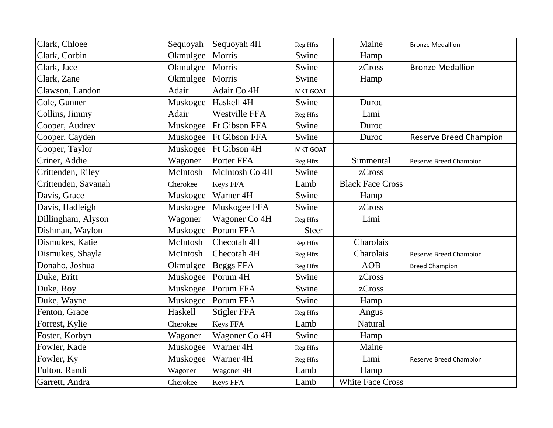| Clark, Chloee       | Sequoyah | Sequoyah 4H              | Reg Hfrs     | Maine                   | <b>Bronze Medallion</b>       |
|---------------------|----------|--------------------------|--------------|-------------------------|-------------------------------|
| Clark, Corbin       | Okmulgee | Morris                   | Swine        | Hamp                    |                               |
| Clark, Jace         | Okmulgee | Morris                   | Swine        | zCross                  | <b>Bronze Medallion</b>       |
| Clark, Zane         | Okmulgee | Morris                   | Swine        | Hamp                    |                               |
| Clawson, Landon     | Adair    | Adair Co 4H              | MKT GOAT     |                         |                               |
| Cole, Gunner        |          | Muskogee Haskell 4H      | Swine        | Duroc                   |                               |
| Collins, Jimmy      | Adair    | Westville FFA            | Reg Hfrs     | Limi                    |                               |
| Cooper, Audrey      |          | Muskogee   Ft Gibson FFA | Swine        | Duroc                   |                               |
| Cooper, Cayden      | Muskogee | <b>Ft Gibson FFA</b>     | Swine        | Duroc                   | <b>Reserve Breed Champion</b> |
| Cooper, Taylor      | Muskogee | Ft Gibson 4H             | MKT GOAT     |                         |                               |
| Criner, Addie       | Wagoner  | Porter FFA               | Reg Hfrs     | Simmental               | Reserve Breed Champion        |
| Crittenden, Riley   | McIntosh | McIntosh Co 4H           | Swine        | zCross                  |                               |
| Crittenden, Savanah | Cherokee | Keys FFA                 | Lamb         | <b>Black Face Cross</b> |                               |
| Davis, Grace        | Muskogee | Warner 4H                | Swine        | Hamp                    |                               |
| Davis, Hadleigh     | Muskogee | Muskogee FFA             | Swine        | zCross                  |                               |
| Dillingham, Alyson  | Wagoner  | Wagoner Co 4H            | Reg Hfrs     | Limi                    |                               |
| Dishman, Waylon     | Muskogee | Porum FFA                | <b>Steer</b> |                         |                               |
| Dismukes, Katie     | McIntosh | Checotah 4H              | Reg Hfrs     | Charolais               |                               |
| Dismukes, Shayla    | McIntosh | Checotah 4H              | Reg Hfrs     | Charolais               | Reserve Breed Champion        |
| Donaho, Joshua      | Okmulgee | <b>Beggs FFA</b>         | Reg Hfrs     | <b>AOB</b>              | <b>Breed Champion</b>         |
| Duke, Britt         | Muskogee | Porum 4H                 | Swine        | zCross                  |                               |
| Duke, Roy           | Muskogee | Porum FFA                | Swine        | zCross                  |                               |
| Duke, Wayne         | Muskogee | Porum FFA                | Swine        | Hamp                    |                               |
| Fenton, Grace       | Haskell  | <b>Stigler FFA</b>       | Reg Hfrs     | Angus                   |                               |
| Forrest, Kylie      | Cherokee | Keys FFA                 | Lamb         | <b>Natural</b>          |                               |
| Foster, Korbyn      | Wagoner  | Wagoner Co 4H            | Swine        | Hamp                    |                               |
| Fowler, Kade        | Muskogee | Warner 4H                | Reg Hfrs     | Maine                   |                               |
| Fowler, Ky          | Muskogee | Warner 4H                | Reg Hfrs     | Limi                    | Reserve Breed Champion        |
| Fulton, Randi       | Wagoner  | Wagoner 4H               | Lamb         | Hamp                    |                               |
| Garrett, Andra      | Cherokee | <b>Keys FFA</b>          | Lamb         | <b>White Face Cross</b> |                               |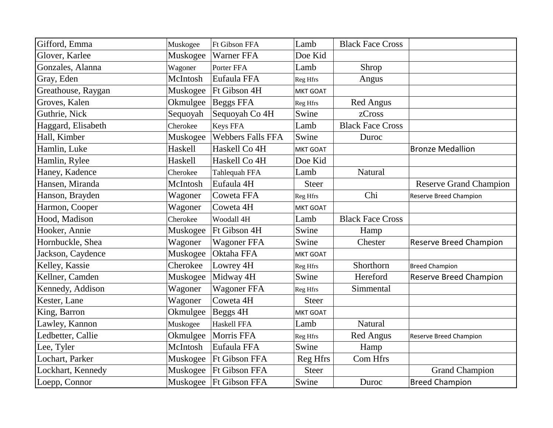| Gifford, Emma      | Muskogee | <b>Ft Gibson FFA</b>     | Lamb         | <b>Black Face Cross</b> |                               |
|--------------------|----------|--------------------------|--------------|-------------------------|-------------------------------|
| Glover, Karlee     | Muskogee | Warner FFA               | Doe Kid      |                         |                               |
| Gonzales, Alanna   | Wagoner  | Porter FFA               | Lamb         | Shrop                   |                               |
| Gray, Eden         | McIntosh | Eufaula FFA              | Reg Hfrs     | Angus                   |                               |
| Greathouse, Raygan | Muskogee | Ft Gibson 4H             | MKT GOAT     |                         |                               |
| Groves, Kalen      | Okmulgee | <b>Beggs FFA</b>         | Reg Hfrs     | <b>Red Angus</b>        |                               |
| Guthrie, Nick      | Sequoyah | Sequoyah Co 4H           | Swine        | zCross                  |                               |
| Haggard, Elisabeth | Cherokee | <b>Keys FFA</b>          | Lamb         | <b>Black Face Cross</b> |                               |
| Hall, Kimber       | Muskogee | <b>Webbers Falls FFA</b> | Swine        | Duroc                   |                               |
| Hamlin, Luke       | Haskell  | Haskell Co 4H            | MKT GOAT     |                         | <b>Bronze Medallion</b>       |
| Hamlin, Rylee      | Haskell  | Haskell Co 4H            | Doe Kid      |                         |                               |
| Haney, Kadence     | Cherokee | Tahlequah FFA            | Lamb         | Natural                 |                               |
| Hansen, Miranda    | McIntosh | Eufaula 4H               | <b>Steer</b> |                         | <b>Reserve Grand Champion</b> |
| Hanson, Brayden    | Wagoner  | Coweta FFA               | Reg Hfrs     | Chi                     | <b>Reserve Breed Champion</b> |
| Harmon, Cooper     | Wagoner  | Coweta 4H                | MKT GOAT     |                         |                               |
| Hood, Madison      | Cherokee | Woodall 4H               | Lamb         | <b>Black Face Cross</b> |                               |
| Hooker, Annie      | Muskogee | Ft Gibson 4H             | Swine        | Hamp                    |                               |
| Hornbuckle, Shea   | Wagoner  | <b>Wagoner FFA</b>       | Swine        | Chester                 | <b>Reserve Breed Champion</b> |
| Jackson, Caydence  | Muskogee | Oktaha FFA               | MKT GOAT     |                         |                               |
| Kelley, Kassie     | Cherokee | Lowrey 4H                | Reg Hfrs     | Shorthorn               | <b>Breed Champion</b>         |
| Kellner, Camden    | Muskogee | Midway 4H                | Swine        | Hereford                | <b>Reserve Breed Champion</b> |
| Kennedy, Addison   | Wagoner  | <b>Wagoner FFA</b>       | Reg Hfrs     | Simmental               |                               |
| Kester, Lane       | Wagoner  | Coweta 4H                | <b>Steer</b> |                         |                               |
| King, Barron       | Okmulgee | Beggs 4H                 | MKT GOAT     |                         |                               |
| Lawley, Kannon     | Muskogee | Haskell FFA              | Lamb         | <b>Natural</b>          |                               |
| Ledbetter, Callie  | Okmulgee | Morris FFA               | Reg Hfrs     | <b>Red Angus</b>        | <b>Reserve Breed Champion</b> |
| Lee, Tyler         | McIntosh | Eufaula FFA              | Swine        | Hamp                    |                               |
| Lochart, Parker    | Muskogee | <b>Ft Gibson FFA</b>     | Reg Hfrs     | Com Hfrs                |                               |
| Lockhart, Kennedy  |          | Muskogee   Ft Gibson FFA | <b>Steer</b> |                         | <b>Grand Champion</b>         |
| Loepp, Connor      |          | Muskogee   Ft Gibson FFA | Swine        | Duroc                   | <b>Breed Champion</b>         |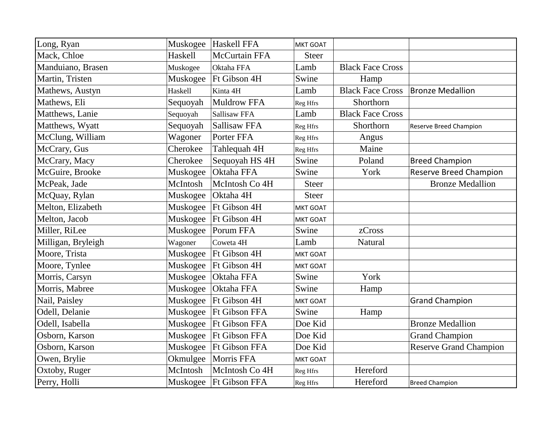| Long, Ryan         |          | Muskogee  Haskell FFA    | MKT GOAT        |                         |                               |
|--------------------|----------|--------------------------|-----------------|-------------------------|-------------------------------|
| Mack, Chloe        | Haskell  | <b>McCurtain FFA</b>     | <b>Steer</b>    |                         |                               |
| Manduiano, Brasen  | Muskogee | Oktaha FFA               | Lamb            | <b>Black Face Cross</b> |                               |
| Martin, Tristen    | Muskogee | Ft Gibson 4H             | Swine           | Hamp                    |                               |
| Mathews, Austyn    | Haskell  | Kinta <sub>4H</sub>      | Lamb            | <b>Black Face Cross</b> | Bronze Medallion              |
| Mathews, Eli       | Sequoyah | Muldrow FFA              | Reg Hfrs        | Shorthorn               |                               |
| Matthews, Lanie    | Sequoyah | Sallisaw FFA             | Lamb            | <b>Black Face Cross</b> |                               |
| Matthews, Wyatt    | Sequoyah | Sallisaw FFA             | Reg Hfrs        | Shorthorn               | Reserve Breed Champion        |
| McClung, William   | Wagoner  | Porter FFA               | Reg Hfrs        | Angus                   |                               |
| McCrary, Gus       | Cherokee | Tahlequah 4H             | Reg Hfrs        | Maine                   |                               |
| McCrary, Macy      | Cherokee | Sequoyah HS 4H           | Swine           | Poland                  | <b>Breed Champion</b>         |
| McGuire, Brooke    | Muskogee | Oktaha FFA               | Swine           | York                    | <b>Reserve Breed Champion</b> |
| McPeak, Jade       | McIntosh | McIntosh Co 4H           | <b>Steer</b>    |                         | <b>Bronze Medallion</b>       |
| McQuay, Rylan      | Muskogee | Oktaha 4H                | <b>Steer</b>    |                         |                               |
| Melton, Elizabeth  | Muskogee | Ft Gibson 4H             | <b>MKT GOAT</b> |                         |                               |
| Melton, Jacob      | Muskogee | Ft Gibson 4H             | MKT GOAT        |                         |                               |
| Miller, RiLee      | Muskogee | Porum FFA                | Swine           | zCross                  |                               |
| Milligan, Bryleigh | Wagoner  | Coweta 4H                | Lamb            | Natural                 |                               |
| Moore, Trista      | Muskogee | Ft Gibson 4H             | <b>MKT GOAT</b> |                         |                               |
| Moore, Tynlee      | Muskogee | Ft Gibson 4H             | MKT GOAT        |                         |                               |
| Morris, Carsyn     | Muskogee | Oktaha FFA               | Swine           | York                    |                               |
| Morris, Mabree     | Muskogee | Oktaha FFA               | Swine           | Hamp                    |                               |
| Nail, Paisley      | Muskogee | Ft Gibson 4H             | <b>MKT GOAT</b> |                         | <b>Grand Champion</b>         |
| Odell, Delanie     | Muskogee | <b>Ft Gibson FFA</b>     | Swine           | Hamp                    |                               |
| Odell, Isabella    | Muskogee | <b>Ft Gibson FFA</b>     | Doe Kid         |                         | <b>Bronze Medallion</b>       |
| Osborn, Karson     | Muskogee | <b>Ft Gibson FFA</b>     | Doe Kid         |                         | <b>Grand Champion</b>         |
| Osborn, Karson     | Muskogee | <b>Ft Gibson FFA</b>     | Doe Kid         |                         | <b>Reserve Grand Champion</b> |
| Owen, Brylie       | Okmulgee | Morris FFA               | MKT GOAT        |                         |                               |
| Oxtoby, Ruger      | McIntosh | McIntosh Co 4H           | Reg Hfrs        | Hereford                |                               |
| Perry, Holli       |          | Muskogee   Ft Gibson FFA | Reg Hfrs        | Hereford                | <b>Breed Champion</b>         |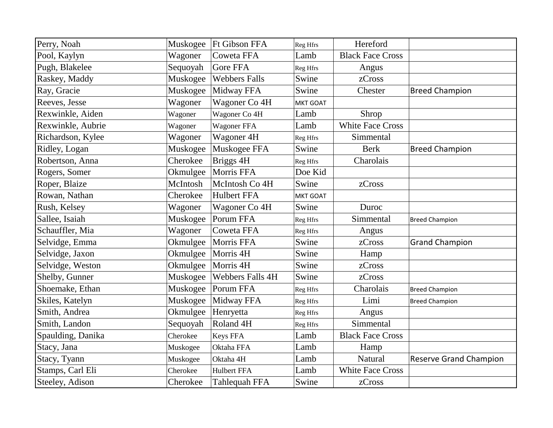| Perry, Noah       | Muskogee | <b>Ft Gibson FFA</b>    | Reg Hfrs | Hereford                |                               |
|-------------------|----------|-------------------------|----------|-------------------------|-------------------------------|
| Pool, Kaylyn      | Wagoner  | Coweta FFA              | Lamb     | <b>Black Face Cross</b> |                               |
| Pugh, Blakelee    | Sequoyah | <b>Gore FFA</b>         | Reg Hfrs | Angus                   |                               |
| Raskey, Maddy     | Muskogee | <b>Webbers Falls</b>    | Swine    | zCross                  |                               |
| Ray, Gracie       | Muskogee | Midway FFA              | Swine    | Chester                 | <b>Breed Champion</b>         |
| Reeves, Jesse     | Wagoner  | Wagoner Co 4H           | MKT GOAT |                         |                               |
| Rexwinkle, Aiden  | Wagoner  | Wagoner Co 4H           | Lamb     | Shrop                   |                               |
| Rexwinkle, Aubrie | Wagoner  | <b>Wagoner FFA</b>      | Lamb     | <b>White Face Cross</b> |                               |
| Richardson, Kylee | Wagoner  | Wagoner 4H              | Reg Hfrs | Simmental               |                               |
| Ridley, Logan     | Muskogee | Muskogee FFA            | Swine    | <b>Berk</b>             | <b>Breed Champion</b>         |
| Robertson, Anna   | Cherokee | Briggs 4H               | Reg Hfrs | Charolais               |                               |
| Rogers, Somer     | Okmulgee | Morris FFA              | Doe Kid  |                         |                               |
| Roper, Blaize     | McIntosh | McIntosh Co 4H          | Swine    | zCross                  |                               |
| Rowan, Nathan     | Cherokee | <b>Hulbert FFA</b>      | MKT GOAT |                         |                               |
| Rush, Kelsey      | Wagoner  | Wagoner Co 4H           | Swine    | Duroc                   |                               |
| Sallee, Isaiah    | Muskogee | Porum FFA               | Reg Hfrs | Simmental               | <b>Breed Champion</b>         |
| Schauffler, Mia   | Wagoner  | Coweta FFA              | Reg Hfrs | Angus                   |                               |
| Selvidge, Emma    | Okmulgee | Morris FFA              | Swine    | zCross                  | <b>Grand Champion</b>         |
| Selvidge, Jaxon   | Okmulgee | Morris 4H               | Swine    | Hamp                    |                               |
| Selvidge, Weston  | Okmulgee | Morris 4H               | Swine    | zCross                  |                               |
| Shelby, Gunner    | Muskogee | <b>Webbers Falls 4H</b> | Swine    | zCross                  |                               |
| Shoemake, Ethan   | Muskogee | Porum FFA               | Reg Hfrs | Charolais               | <b>Breed Champion</b>         |
| Skiles, Katelyn   | Muskogee | Midway FFA              | Reg Hfrs | Limi                    | <b>Breed Champion</b>         |
| Smith, Andrea     | Okmulgee | Henryetta               | Reg Hfrs | Angus                   |                               |
| Smith, Landon     | Sequoyah | Roland <sub>4H</sub>    | Reg Hfrs | Simmental               |                               |
| Spaulding, Danika | Cherokee | <b>Keys FFA</b>         | Lamb     | <b>Black Face Cross</b> |                               |
| Stacy, Jana       | Muskogee | Oktaha FFA              | Lamb     | Hamp                    |                               |
| Stacy, Tyann      | Muskogee | Oktaha 4H               | Lamb     | Natural                 | <b>Reserve Grand Champion</b> |
| Stamps, Carl Eli  | Cherokee | <b>Hulbert FFA</b>      | Lamb     | <b>White Face Cross</b> |                               |
| Steeley, Adison   | Cherokee | Tahlequah FFA           | Swine    | zCross                  |                               |